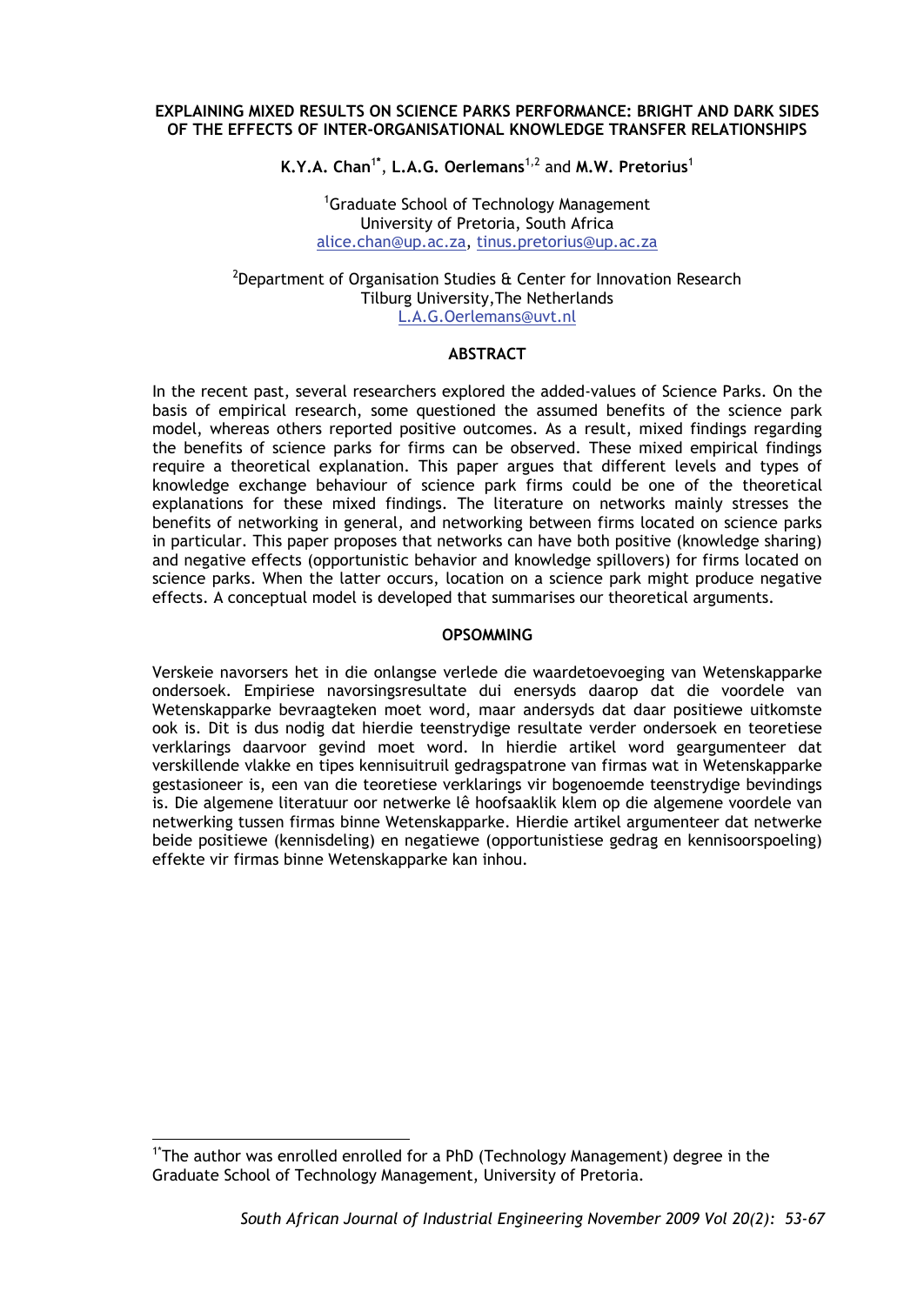### **EXPLAINING MIXED RESULTS ON SCIENCE PARKS PERFORMANCE: BRIGHT AND DARK SIDES OF THE EFFECTS OF INTER-ORGANISATIONAL KNOWLEDGE TRANSFER RELATIONSHIPS**

**K.Y.A. Chan**<sup>1</sup>**\*** , **L.A.G. Oerlemans**1,2 and **M.W. Pretorius**<sup>1</sup>

<sup>1</sup>Graduate School of Technology Management University of Pretoria, South Africa alice.chan@up.ac.za, tinus.pretorius@up.ac.za

### $^{2}$ Department of Organisation Studies & Center for Innovation Research Tilburg University,The Netherlands L.A.G.Oerlemans@uvt.nl

### **ABSTRACT**

In the recent past, several researchers explored the added-values of Science Parks. On the basis of empirical research, some questioned the assumed benefits of the science park model, whereas others reported positive outcomes. As a result, mixed findings regarding the benefits of science parks for firms can be observed. These mixed empirical findings require a theoretical explanation. This paper argues that different levels and types of knowledge exchange behaviour of science park firms could be one of the theoretical explanations for these mixed findings. The literature on networks mainly stresses the benefits of networking in general, and networking between firms located on science parks in particular. This paper proposes that networks can have both positive (knowledge sharing) and negative effects (opportunistic behavior and knowledge spillovers) for firms located on science parks. When the latter occurs, location on a science park might produce negative effects. A conceptual model is developed that summarises our theoretical arguments.

#### **OPSOMMING**

Verskeie navorsers het in die onlangse verlede die waardetoevoeging van Wetenskapparke ondersoek. Empiriese navorsingsresultate dui enersyds daarop dat die voordele van Wetenskapparke bevraagteken moet word, maar andersyds dat daar positiewe uitkomste ook is. Dit is dus nodig dat hierdie teenstrydige resultate verder ondersoek en teoretiese verklarings daarvoor gevind moet word. In hierdie artikel word geargumenteer dat verskillende vlakke en tipes kennisuitruil gedragspatrone van firmas wat in Wetenskapparke gestasioneer is, een van die teoretiese verklarings vir bogenoemde teenstrydige bevindings is. Die algemene literatuur oor netwerke lê hoofsaaklik klem op die algemene voordele van netwerking tussen firmas binne Wetenskapparke. Hierdie artikel argumenteer dat netwerke beide positiewe (kennisdeling) en negatiewe (opportunistiese gedrag en kennisoorspoeling) effekte vir firmas binne Wetenskapparke kan inhou.

-

<sup>&</sup>lt;sup>1\*</sup>The author was enrolled enrolled for a PhD (Technology Management) degree in the Graduate School of Technology Management, University of Pretoria.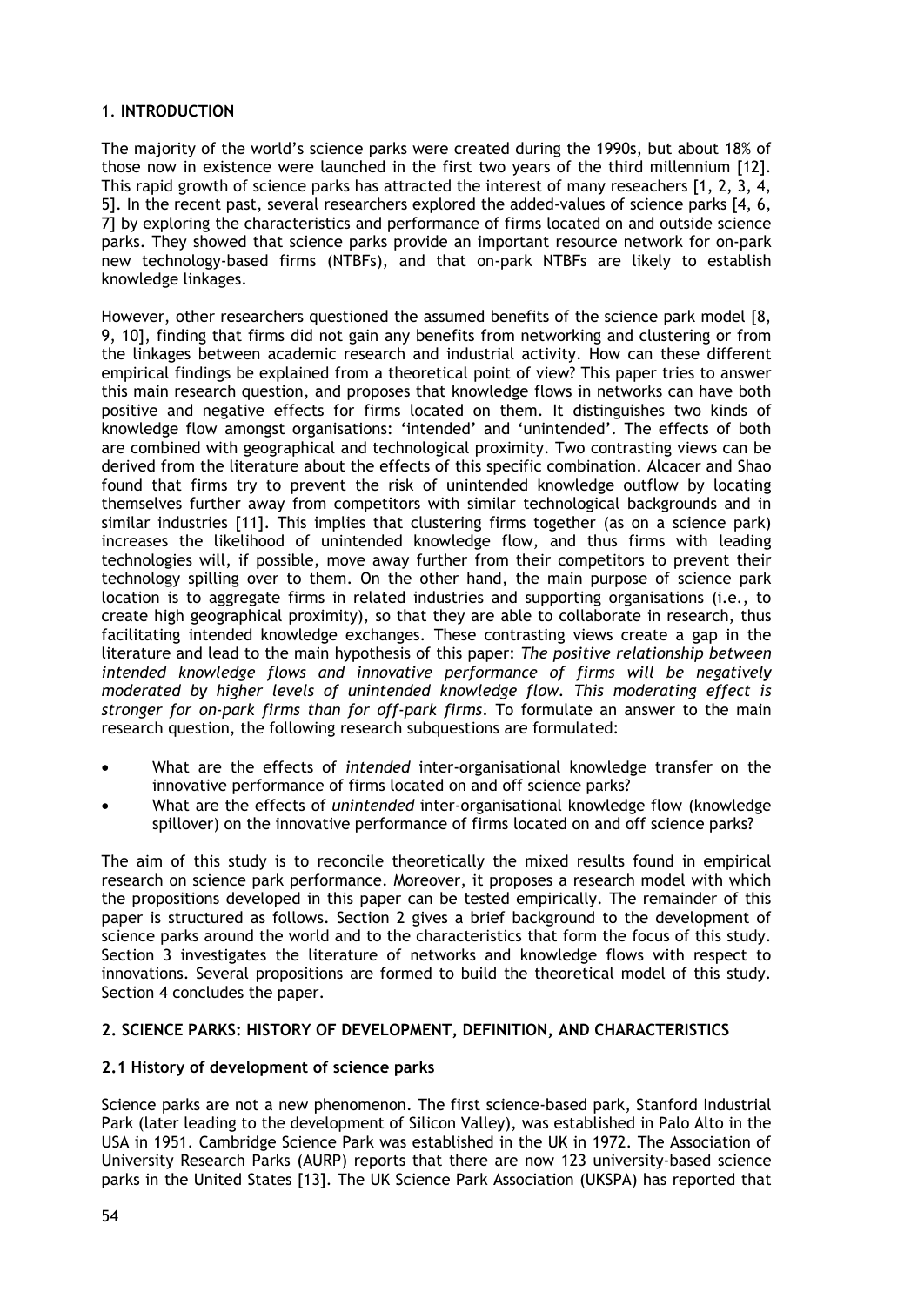# 1. **INTRODUCTION**

The majority of the world's science parks were created during the 1990s, but about 18% of those now in existence were launched in the first two years of the third millennium [12]. This rapid growth of science parks has attracted the interest of many reseachers [1, 2, 3, 4, 5]. In the recent past, several researchers explored the added-values of science parks [4, 6, 7] by exploring the characteristics and performance of firms located on and outside science parks. They showed that science parks provide an important resource network for on-park new technology-based firms (NTBFs), and that on-park NTBFs are likely to establish knowledge linkages.

However, other researchers questioned the assumed benefits of the science park model [8, 9, 10], finding that firms did not gain any benefits from networking and clustering or from the linkages between academic research and industrial activity. How can these different empirical findings be explained from a theoretical point of view? This paper tries to answer this main research question, and proposes that knowledge flows in networks can have both positive and negative effects for firms located on them. It distinguishes two kinds of knowledge flow amongst organisations: 'intended' and 'unintended'. The effects of both are combined with geographical and technological proximity. Two contrasting views can be derived from the literature about the effects of this specific combination. Alcacer and Shao found that firms try to prevent the risk of unintended knowledge outflow by locating themselves further away from competitors with similar technological backgrounds and in similar industries [11]. This implies that clustering firms together (as on a science park) increases the likelihood of unintended knowledge flow, and thus firms with leading technologies will, if possible, move away further from their competitors to prevent their technology spilling over to them. On the other hand, the main purpose of science park location is to aggregate firms in related industries and supporting organisations (i.e., to create high geographical proximity), so that they are able to collaborate in research, thus facilitating intended knowledge exchanges. These contrasting views create a gap in the literature and lead to the main hypothesis of this paper: *The positive relationship between*  intended knowledge flows and innovative performance of firms will be negatively *moderated by higher levels of unintended knowledge flow. This moderating effect is stronger for on-park firms than for off-park firms*. To formulate an answer to the main research question, the following research subquestions are formulated:

- What are the effects of *intended* inter-organisational knowledge transfer on the innovative performance of firms located on and off science parks?
- What are the effects of *unintended* inter-organisational knowledge flow (knowledge spillover) on the innovative performance of firms located on and off science parks?

The aim of this study is to reconcile theoretically the mixed results found in empirical research on science park performance. Moreover, it proposes a research model with which the propositions developed in this paper can be tested empirically. The remainder of this paper is structured as follows. Section 2 gives a brief background to the development of science parks around the world and to the characteristics that form the focus of this study. Section 3 investigates the literature of networks and knowledge flows with respect to innovations. Several propositions are formed to build the theoretical model of this study. Section 4 concludes the paper.

### **2. SCIENCE PARKS: HISTORY OF DEVELOPMENT, DEFINITION, AND CHARACTERISTICS**

### **2.1 History of development of science parks**

Science parks are not a new phenomenon. The first science-based park, Stanford Industrial Park (later leading to the development of Silicon Valley), was established in Palo Alto in the USA in 1951. Cambridge Science Park was established in the UK in 1972. The Association of University Research Parks (AURP) reports that there are now 123 university-based science parks in the United States [13]. The UK Science Park Association (UKSPA) has reported that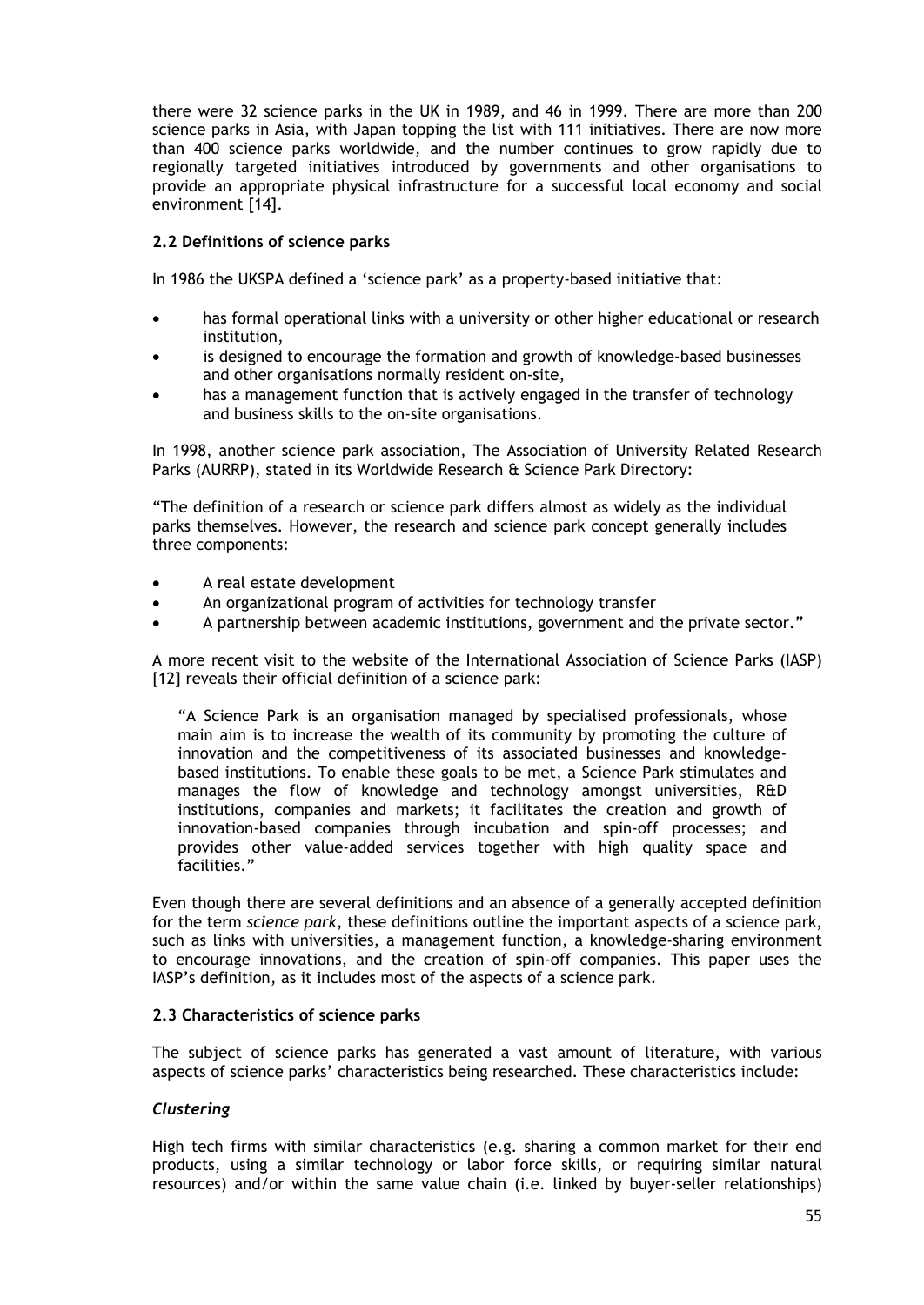there were 32 science parks in the UK in 1989, and 46 in 1999. There are more than 200 science parks in Asia, with Japan topping the list with 111 initiatives. There are now more than 400 science parks worldwide, and the number continues to grow rapidly due to regionally targeted initiatives introduced by governments and other organisations to provide an appropriate physical infrastructure for a successful local economy and social environment [14].

# **2.2 Definitions of science parks**

In 1986 the UKSPA defined a 'science park' as a property-based initiative that:

- has formal operational links with a university or other higher educational or research institution,
- is designed to encourage the formation and growth of knowledge-based businesses and other organisations normally resident on-site,
- has a management function that is actively engaged in the transfer of technology and business skills to the on-site organisations.

In 1998, another science park association, The Association of University Related Research Parks (AURRP), stated in its Worldwide Research & Science Park Directory:

"The definition of a research or science park differs almost as widely as the individual parks themselves. However, the research and science park concept generally includes three components:

- A real estate development
- An organizational program of activities for technology transfer
- A partnership between academic institutions, government and the private sector."

A more recent visit to the website of the International Association of Science Parks (IASP) [12] reveals their official definition of a science park:

"A Science Park is an organisation managed by specialised professionals, whose main aim is to increase the wealth of its community by promoting the culture of innovation and the competitiveness of its associated businesses and knowledgebased institutions. To enable these goals to be met, a Science Park stimulates and manages the flow of knowledge and technology amongst universities, R&D institutions, companies and markets; it facilitates the creation and growth of innovation-based companies through incubation and spin-off processes; and provides other value-added services together with high quality space and facilities."

Even though there are several definitions and an absence of a generally accepted definition for the term *science park*, these definitions outline the important aspects of a science park, such as links with universities, a management function, a knowledge-sharing environment to encourage innovations, and the creation of spin-off companies. This paper uses the IASP's definition, as it includes most of the aspects of a science park.

### **2.3 Characteristics of science parks**

The subject of science parks has generated a vast amount of literature, with various aspects of science parks' characteristics being researched. These characteristics include:

### *Clustering*

High tech firms with similar characteristics (e.g. sharing a common market for their end products, using a similar technology or labor force skills, or requiring similar natural resources) and/or within the same value chain (i.e. linked by buyer-seller relationships)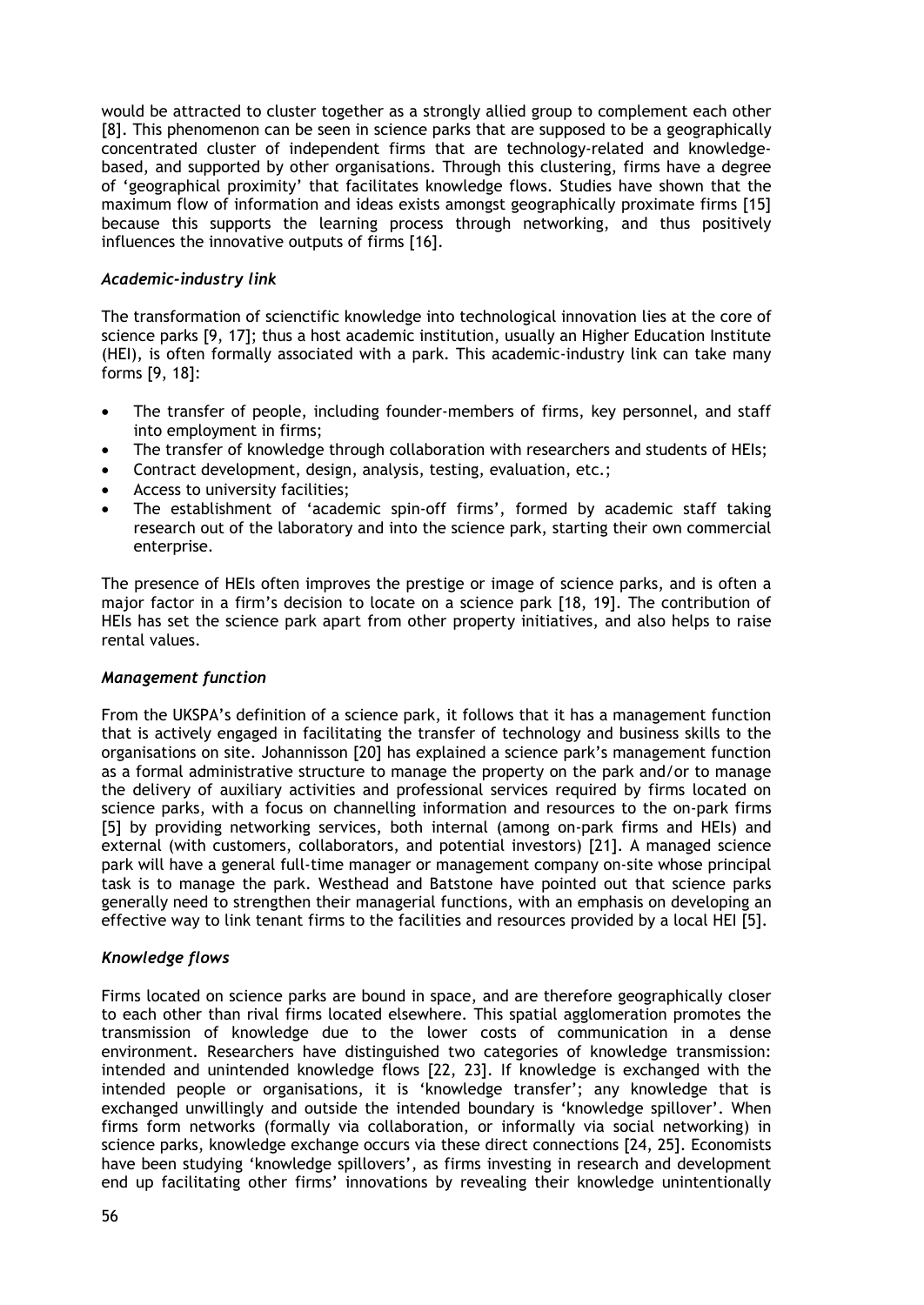would be attracted to cluster together as a strongly allied group to complement each other [8]. This phenomenon can be seen in science parks that are supposed to be a geographically concentrated cluster of independent firms that are technology-related and knowledgebased, and supported by other organisations. Through this clustering, firms have a degree of 'geographical proximity' that facilitates knowledge flows. Studies have shown that the maximum flow of information and ideas exists amongst geographically proximate firms [15] because this supports the learning process through networking, and thus positively influences the innovative outputs of firms [16].

### *Academic-industry link*

The transformation of scienctific knowledge into technological innovation lies at the core of science parks [9, 17]; thus a host academic institution, usually an Higher Education Institute (HEI), is often formally associated with a park. This academic-industry link can take many forms [9, 18]:

- The transfer of people, including founder-members of firms, key personnel, and staff into employment in firms;
- The transfer of knowledge through collaboration with researchers and students of HEIs;
- Contract development, design, analysis, testing, evaluation, etc.;
- Access to university facilities;
- The establishment of 'academic spin-off firms', formed by academic staff taking research out of the laboratory and into the science park, starting their own commercial enterprise.

The presence of HEIs often improves the prestige or image of science parks, and is often a major factor in a firm's decision to locate on a science park [18, 19]. The contribution of HEIs has set the science park apart from other property initiatives, and also helps to raise rental values.

### *Management function*

From the UKSPA's definition of a science park, it follows that it has a management function that is actively engaged in facilitating the transfer of technology and business skills to the organisations on site. Johannisson [20] has explained a science park's management function as a formal administrative structure to manage the property on the park and/or to manage the delivery of auxiliary activities and professional services required by firms located on science parks, with a focus on channelling information and resources to the on-park firms [5] by providing networking services, both internal (among on-park firms and HEIs) and external (with customers, collaborators, and potential investors) [21]. A managed science park will have a general full-time manager or management company on-site whose principal task is to manage the park. Westhead and Batstone have pointed out that science parks generally need to strengthen their managerial functions, with an emphasis on developing an effective way to link tenant firms to the facilities and resources provided by a local HEI [5].

### *Knowledge flows*

Firms located on science parks are bound in space, and are therefore geographically closer to each other than rival firms located elsewhere. This spatial agglomeration promotes the transmission of knowledge due to the lower costs of communication in a dense environment. Researchers have distinguished two categories of knowledge transmission: intended and unintended knowledge flows [22, 23]. If knowledge is exchanged with the intended people or organisations, it is 'knowledge transfer'; any knowledge that is exchanged unwillingly and outside the intended boundary is 'knowledge spillover'. When firms form networks (formally via collaboration, or informally via social networking) in science parks, knowledge exchange occurs via these direct connections [24, 25]. Economists have been studying 'knowledge spillovers', as firms investing in research and development end up facilitating other firms' innovations by revealing their knowledge unintentionally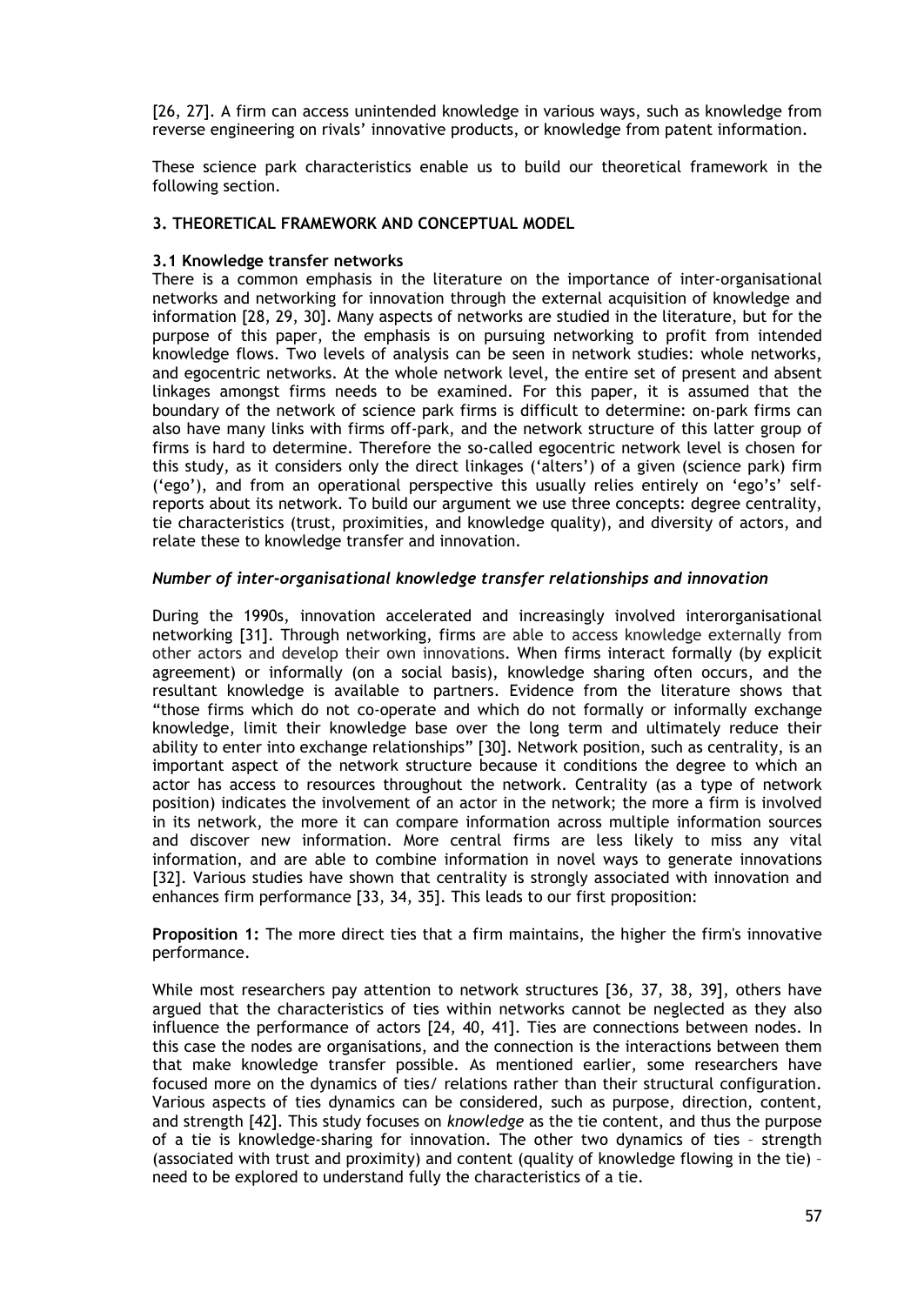[26, 27]. A firm can access unintended knowledge in various ways, such as knowledge from reverse engineering on rivals' innovative products, or knowledge from patent information.

These science park characteristics enable us to build our theoretical framework in the following section.

### **3. THEORETICAL FRAMEWORK AND CONCEPTUAL MODEL**

# **3.1 Knowledge transfer networks**

There is a common emphasis in the literature on the importance of inter-organisational networks and networking for innovation through the external acquisition of knowledge and information [28, 29, 30]. Many aspects of networks are studied in the literature, but for the purpose of this paper, the emphasis is on pursuing networking to profit from intended knowledge flows. Two levels of analysis can be seen in network studies: whole networks, and egocentric networks. At the whole network level, the entire set of present and absent linkages amongst firms needs to be examined. For this paper, it is assumed that the boundary of the network of science park firms is difficult to determine: on-park firms can also have many links with firms off-park, and the network structure of this latter group of firms is hard to determine. Therefore the so-called egocentric network level is chosen for this study, as it considers only the direct linkages ('alters') of a given (science park) firm ('ego'), and from an operational perspective this usually relies entirely on 'ego's' selfreports about its network. To build our argument we use three concepts: degree centrality, tie characteristics (trust, proximities, and knowledge quality), and diversity of actors, and relate these to knowledge transfer and innovation.

### *Number of inter-organisational knowledge transfer relationships and innovation*

During the 1990s, innovation accelerated and increasingly involved interorganisational networking [31]. Through networking, firms are able to access knowledge externally from other actors and develop their own innovations. When firms interact formally (by explicit agreement) or informally (on a social basis), knowledge sharing often occurs, and the resultant knowledge is available to partners. Evidence from the literature shows that "those firms which do not co-operate and which do not formally or informally exchange knowledge, limit their knowledge base over the long term and ultimately reduce their ability to enter into exchange relationships" [30]. Network position, such as centrality, is an important aspect of the network structure because it conditions the degree to which an actor has access to resources throughout the network. Centrality (as a type of network position) indicates the involvement of an actor in the network; the more a firm is involved in its network, the more it can compare information across multiple information sources and discover new information. More central firms are less likely to miss any vital information, and are able to combine information in novel ways to generate innovations [32]. Various studies have shown that centrality is strongly associated with innovation and enhances firm performance [33, 34, 35]. This leads to our first proposition:

**Proposition 1:** The more direct ties that a firm maintains, the higher the firm's innovative performance.

While most researchers pay attention to network structures [36, 37, 38, 39], others have argued that the characteristics of ties within networks cannot be neglected as they also influence the performance of actors [24, 40, 41]. Ties are connections between nodes. In this case the nodes are organisations, and the connection is the interactions between them that make knowledge transfer possible. As mentioned earlier, some researchers have focused more on the dynamics of ties/ relations rather than their structural configuration. Various aspects of ties dynamics can be considered, such as purpose, direction, content, and strength [42]. This study focuses on *knowledge* as the tie content, and thus the purpose of a tie is knowledge-sharing for innovation. The other two dynamics of ties – strength (associated with trust and proximity) and content (quality of knowledge flowing in the tie) – need to be explored to understand fully the characteristics of a tie.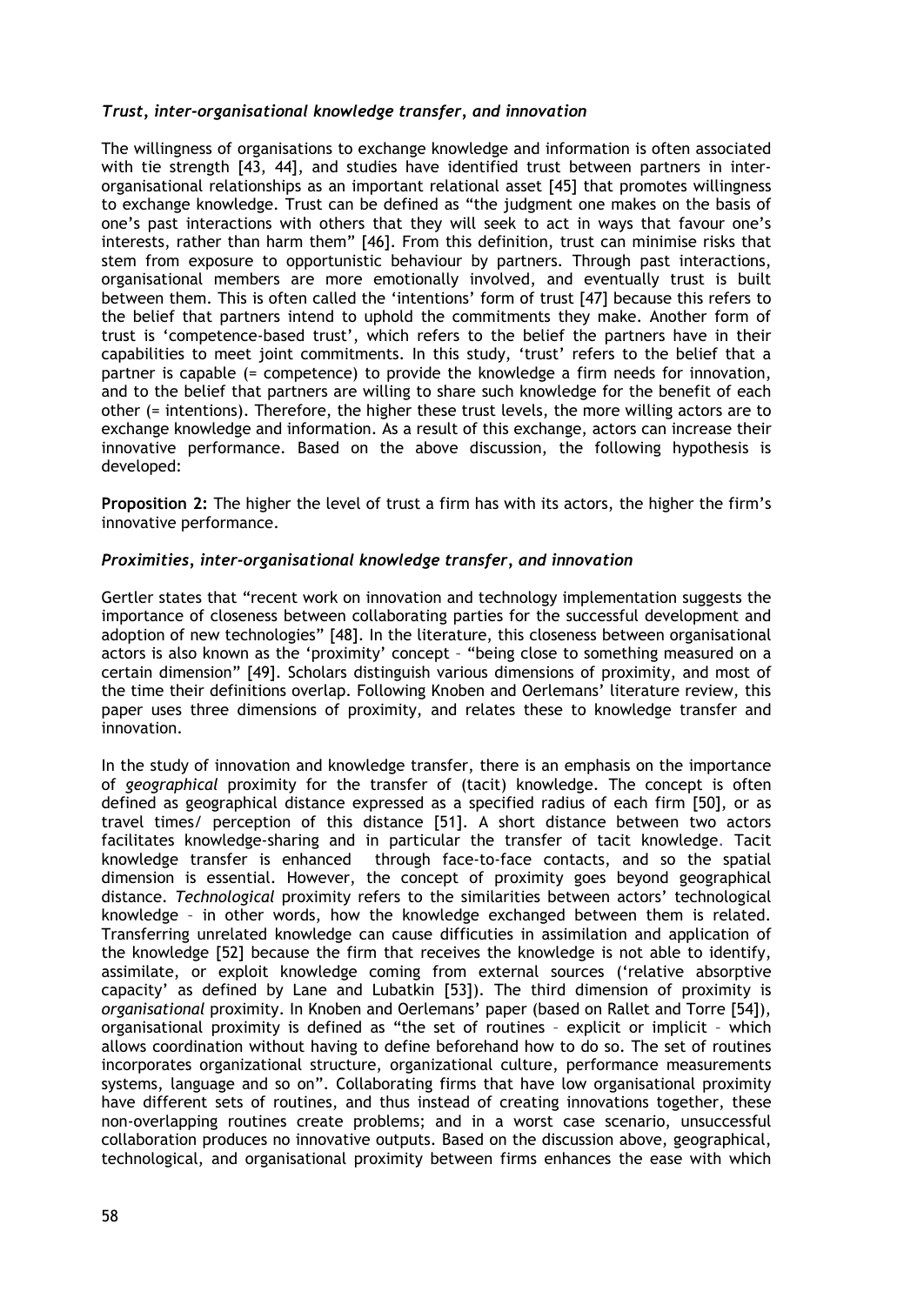### *Trust, inter-organisational knowledge transfer, and innovation*

The willingness of organisations to exchange knowledge and information is often associated with tie strength [43, 44], and studies have identified trust between partners in interorganisational relationships as an important relational asset [45] that promotes willingness to exchange knowledge. Trust can be defined as "the judgment one makes on the basis of one's past interactions with others that they will seek to act in ways that favour one's interests, rather than harm them" [46]. From this definition, trust can minimise risks that stem from exposure to opportunistic behaviour by partners. Through past interactions, organisational members are more emotionally involved, and eventually trust is built between them. This is often called the 'intentions' form of trust [47] because this refers to the belief that partners intend to uphold the commitments they make. Another form of trust is 'competence-based trust', which refers to the belief the partners have in their capabilities to meet joint commitments. In this study, 'trust' refers to the belief that a partner is capable (= competence) to provide the knowledge a firm needs for innovation, and to the belief that partners are willing to share such knowledge for the benefit of each other (= intentions). Therefore, the higher these trust levels, the more willing actors are to exchange knowledge and information. As a result of this exchange, actors can increase their innovative performance. Based on the above discussion, the following hypothesis is developed:

**Proposition 2:** The higher the level of trust a firm has with its actors, the higher the firm's innovative performance.

#### *Proximities, inter-organisational knowledge transfer, and innovation*

Gertler states that "recent work on innovation and technology implementation suggests the importance of closeness between collaborating parties for the successful development and adoption of new technologies" [48]. In the literature, this closeness between organisational actors is also known as the 'proximity' concept – "being close to something measured on a certain dimension" [49]. Scholars distinguish various dimensions of proximity, and most of the time their definitions overlap. Following Knoben and Oerlemans' literature review, this paper uses three dimensions of proximity, and relates these to knowledge transfer and innovation.

In the study of innovation and knowledge transfer, there is an emphasis on the importance of *geographical* proximity for the transfer of (tacit) knowledge. The concept is often defined as geographical distance expressed as a specified radius of each firm [50], or as travel times/ perception of this distance [51]. A short distance between two actors facilitates knowledge-sharing and in particular the transfer of tacit knowledge. Tacit knowledge transfer is enhanced through face-to-face contacts, and so the spatial dimension is essential. However, the concept of proximity goes beyond geographical distance. *Technological* proximity refers to the similarities between actors' technological knowledge – in other words, how the knowledge exchanged between them is related. Transferring unrelated knowledge can cause difficuties in assimilation and application of the knowledge [52] because the firm that receives the knowledge is not able to identify, assimilate, or exploit knowledge coming from external sources ('relative absorptive capacity' as defined by Lane and Lubatkin [53]). The third dimension of proximity is *organisational* proximity. In Knoben and Oerlemans' paper (based on Rallet and Torre [54]), organisational proximity is defined as "the set of routines – explicit or implicit – which allows coordination without having to define beforehand how to do so. The set of routines incorporates organizational structure, organizational culture, performance measurements systems, language and so on". Collaborating firms that have low organisational proximity have different sets of routines, and thus instead of creating innovations together, these non-overlapping routines create problems; and in a worst case scenario, unsuccessful collaboration produces no innovative outputs. Based on the discussion above, geographical, technological, and organisational proximity between firms enhances the ease with which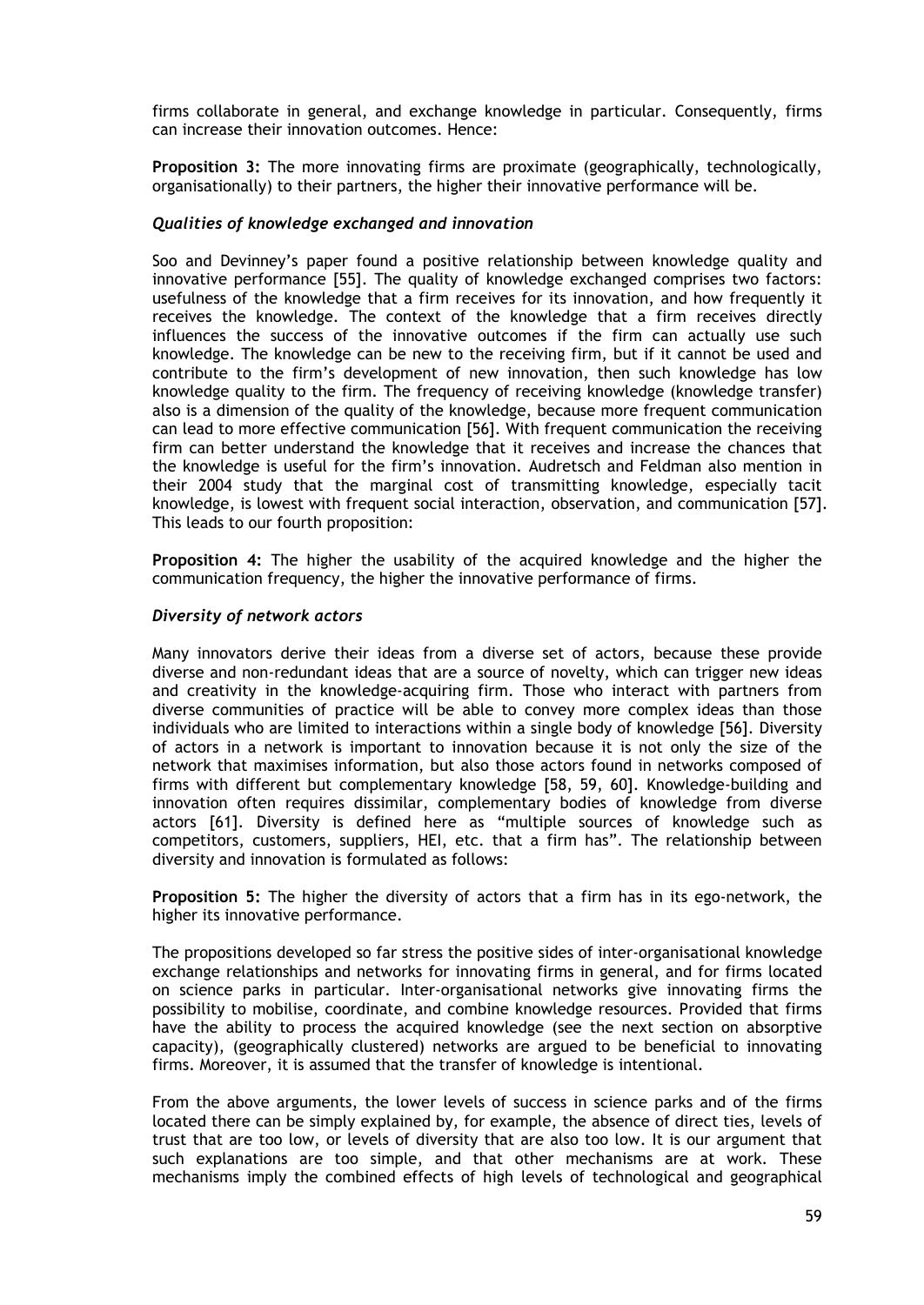firms collaborate in general, and exchange knowledge in particular. Consequently, firms can increase their innovation outcomes. Hence:

**Proposition 3:** The more innovating firms are proximate (geographically, technologically, organisationally) to their partners, the higher their innovative performance will be.

#### *Qualities of knowledge exchanged and innovation*

Soo and Devinney's paper found a positive relationship between knowledge quality and innovative performance [55]. The quality of knowledge exchanged comprises two factors: usefulness of the knowledge that a firm receives for its innovation, and how frequently it receives the knowledge. The context of the knowledge that a firm receives directly influences the success of the innovative outcomes if the firm can actually use such knowledge. The knowledge can be new to the receiving firm, but if it cannot be used and contribute to the firm's development of new innovation, then such knowledge has low knowledge quality to the firm. The frequency of receiving knowledge (knowledge transfer) also is a dimension of the quality of the knowledge, because more frequent communication can lead to more effective communication [56]. With frequent communication the receiving firm can better understand the knowledge that it receives and increase the chances that the knowledge is useful for the firm's innovation. Audretsch and Feldman also mention in their 2004 study that the marginal cost of transmitting knowledge, especially tacit knowledge, is lowest with frequent social interaction, observation, and communication [57]. This leads to our fourth proposition:

**Proposition 4:** The higher the usability of the acquired knowledge and the higher the communication frequency, the higher the innovative performance of firms.

#### *Diversity of network actors*

Many innovators derive their ideas from a diverse set of actors, because these provide diverse and non-redundant ideas that are a source of novelty, which can trigger new ideas and creativity in the knowledge-acquiring firm. Those who interact with partners from diverse communities of practice will be able to convey more complex ideas than those individuals who are limited to interactions within a single body of knowledge [56]. Diversity of actors in a network is important to innovation because it is not only the size of the network that maximises information, but also those actors found in networks composed of firms with different but complementary knowledge [58, 59, 60]. Knowledge-building and innovation often requires dissimilar, complementary bodies of knowledge from diverse actors [61]. Diversity is defined here as "multiple sources of knowledge such as competitors, customers, suppliers, HEI, etc. that a firm has". The relationship between diversity and innovation is formulated as follows:

**Proposition 5:** The higher the diversity of actors that a firm has in its ego-network, the higher its innovative performance.

The propositions developed so far stress the positive sides of inter-organisational knowledge exchange relationships and networks for innovating firms in general, and for firms located on science parks in particular. Inter-organisational networks give innovating firms the possibility to mobilise, coordinate, and combine knowledge resources. Provided that firms have the ability to process the acquired knowledge (see the next section on absorptive capacity), (geographically clustered) networks are argued to be beneficial to innovating firms. Moreover, it is assumed that the transfer of knowledge is intentional.

From the above arguments, the lower levels of success in science parks and of the firms located there can be simply explained by, for example, the absence of direct ties, levels of trust that are too low, or levels of diversity that are also too low. It is our argument that such explanations are too simple, and that other mechanisms are at work. These mechanisms imply the combined effects of high levels of technological and geographical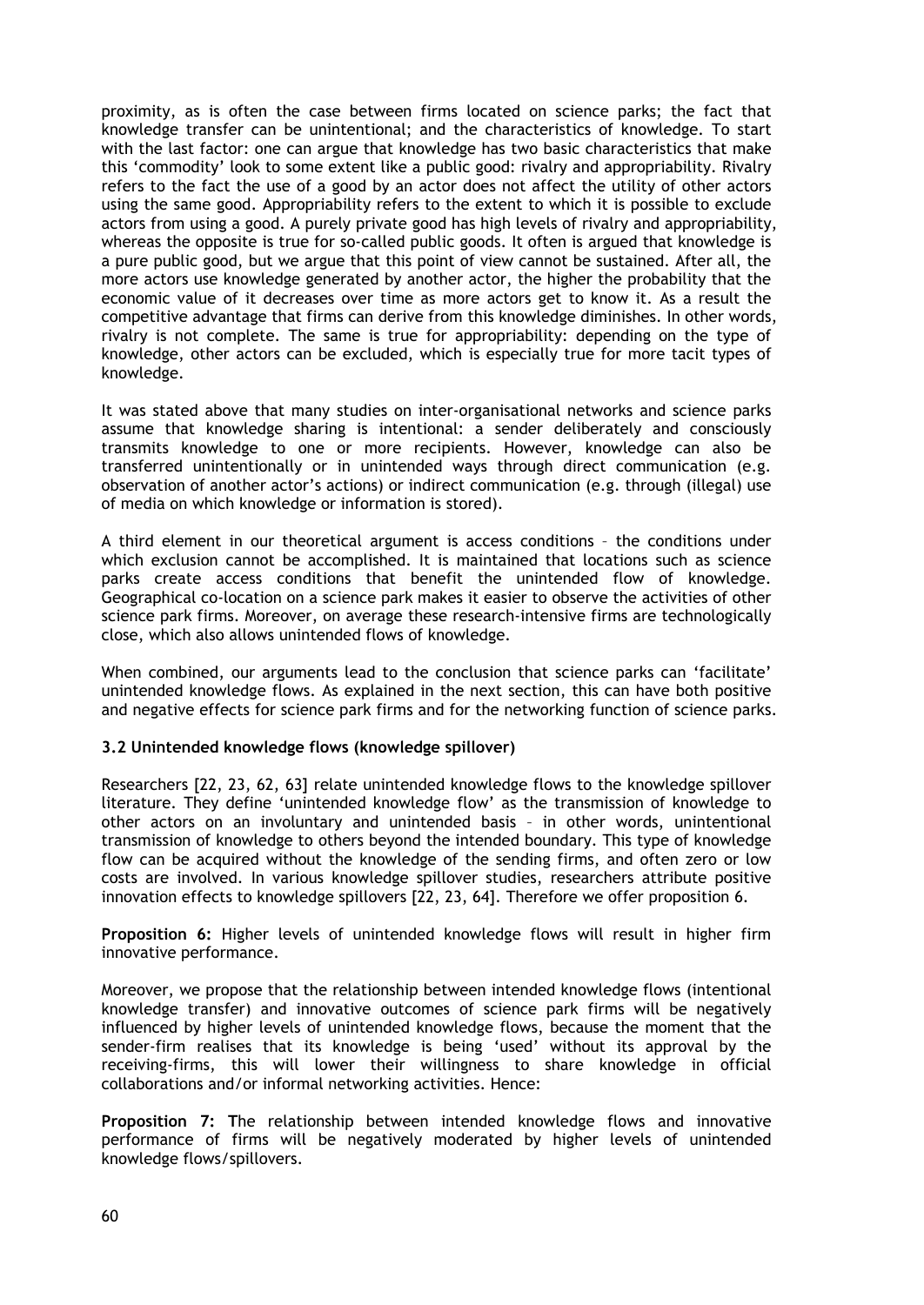proximity, as is often the case between firms located on science parks; the fact that knowledge transfer can be unintentional; and the characteristics of knowledge. To start with the last factor: one can argue that knowledge has two basic characteristics that make this 'commodity' look to some extent like a public good: rivalry and appropriability. Rivalry refers to the fact the use of a good by an actor does not affect the utility of other actors using the same good. Appropriability refers to the extent to which it is possible to exclude actors from using a good. A purely private good has high levels of rivalry and appropriability, whereas the opposite is true for so-called public goods. It often is argued that knowledge is a pure public good, but we argue that this point of view cannot be sustained. After all, the more actors use knowledge generated by another actor, the higher the probability that the economic value of it decreases over time as more actors get to know it. As a result the competitive advantage that firms can derive from this knowledge diminishes. In other words, rivalry is not complete. The same is true for appropriability: depending on the type of knowledge, other actors can be excluded, which is especially true for more tacit types of knowledge.

It was stated above that many studies on inter-organisational networks and science parks assume that knowledge sharing is intentional: a sender deliberately and consciously transmits knowledge to one or more recipients. However, knowledge can also be transferred unintentionally or in unintended ways through direct communication (e.g. observation of another actor's actions) or indirect communication (e.g. through (illegal) use of media on which knowledge or information is stored).

A third element in our theoretical argument is access conditions – the conditions under which exclusion cannot be accomplished. It is maintained that locations such as science parks create access conditions that benefit the unintended flow of knowledge. Geographical co-location on a science park makes it easier to observe the activities of other science park firms. Moreover, on average these research-intensive firms are technologically close, which also allows unintended flows of knowledge.

When combined, our arguments lead to the conclusion that science parks can 'facilitate' unintended knowledge flows. As explained in the next section, this can have both positive and negative effects for science park firms and for the networking function of science parks.

### **3.2 Unintended knowledge flows (knowledge spillover)**

Researchers [22, 23, 62, 63] relate unintended knowledge flows to the knowledge spillover literature. They define 'unintended knowledge flow' as the transmission of knowledge to other actors on an involuntary and unintended basis – in other words, unintentional transmission of knowledge to others beyond the intended boundary. This type of knowledge flow can be acquired without the knowledge of the sending firms, and often zero or low costs are involved. In various knowledge spillover studies, researchers attribute positive innovation effects to knowledge spillovers [22, 23, 64]. Therefore we offer proposition 6.

**Proposition 6:** Higher levels of unintended knowledge flows will result in higher firm innovative performance.

Moreover, we propose that the relationship between intended knowledge flows (intentional knowledge transfer) and innovative outcomes of science park firms will be negatively influenced by higher levels of unintended knowledge flows, because the moment that the sender-firm realises that its knowledge is being 'used' without its approval by the receiving-firms, this will lower their willingness to share knowledge in official collaborations and/or informal networking activities. Hence:

**Proposition 7: T**he relationship between intended knowledge flows and innovative performance of firms will be negatively moderated by higher levels of unintended knowledge flows/spillovers.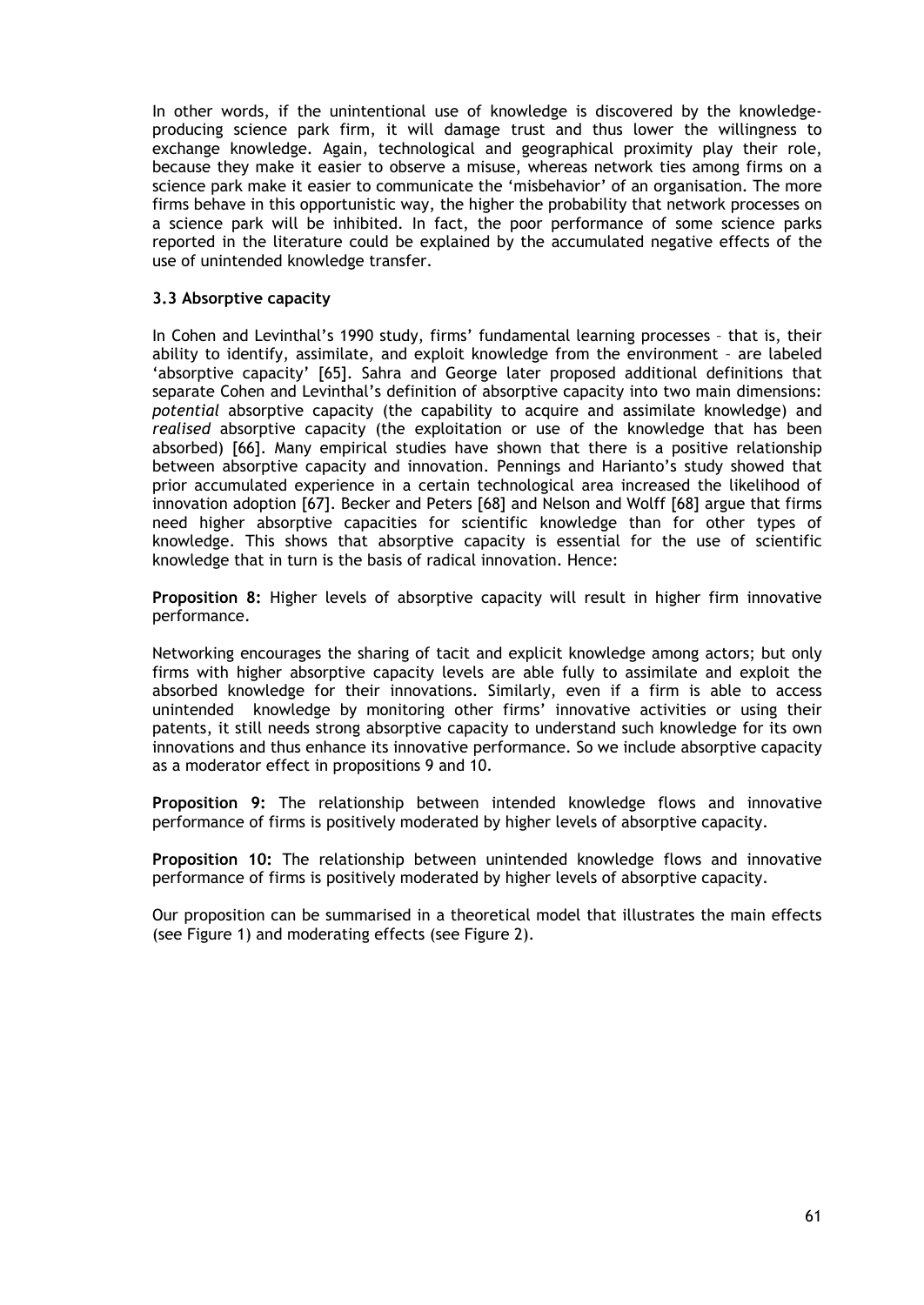In other words, if the unintentional use of knowledge is discovered by the knowledgeproducing science park firm, it will damage trust and thus lower the willingness to exchange knowledge. Again, technological and geographical proximity play their role, because they make it easier to observe a misuse, whereas network ties among firms on a science park make it easier to communicate the 'misbehavior' of an organisation. The more firms behave in this opportunistic way, the higher the probability that network processes on a science park will be inhibited. In fact, the poor performance of some science parks reported in the literature could be explained by the accumulated negative effects of the use of unintended knowledge transfer.

# **3.3 Absorptive capacity**

In Cohen and Levinthal's 1990 study, firms' fundamental learning processes – that is, their ability to identify, assimilate, and exploit knowledge from the environment – are labeled 'absorptive capacity' [65]. Sahra and George later proposed additional definitions that separate Cohen and Levinthal's definition of absorptive capacity into two main dimensions: *potential* absorptive capacity (the capability to acquire and assimilate knowledge) and *realised* absorptive capacity (the exploitation or use of the knowledge that has been absorbed) [66]. Many empirical studies have shown that there is a positive relationship between absorptive capacity and innovation. Pennings and Harianto's study showed that prior accumulated experience in a certain technological area increased the likelihood of innovation adoption [67]. Becker and Peters [68] and Nelson and Wolff [68] argue that firms need higher absorptive capacities for scientific knowledge than for other types of knowledge. This shows that absorptive capacity is essential for the use of scientific knowledge that in turn is the basis of radical innovation. Hence:

**Proposition 8:** Higher levels of absorptive capacity will result in higher firm innovative performance.

Networking encourages the sharing of tacit and explicit knowledge among actors; but only firms with higher absorptive capacity levels are able fully to assimilate and exploit the absorbed knowledge for their innovations. Similarly, even if a firm is able to access unintended knowledge by monitoring other firms' innovative activities or using their patents, it still needs strong absorptive capacity to understand such knowledge for its own innovations and thus enhance its innovative performance. So we include absorptive capacity as a moderator effect in propositions 9 and 10.

**Proposition 9:** The relationship between intended knowledge flows and innovative performance of firms is positively moderated by higher levels of absorptive capacity.

**Proposition 10:** The relationship between unintended knowledge flows and innovative performance of firms is positively moderated by higher levels of absorptive capacity.

Our proposition can be summarised in a theoretical model that illustrates the main effects (see Figure 1) and moderating effects (see Figure 2).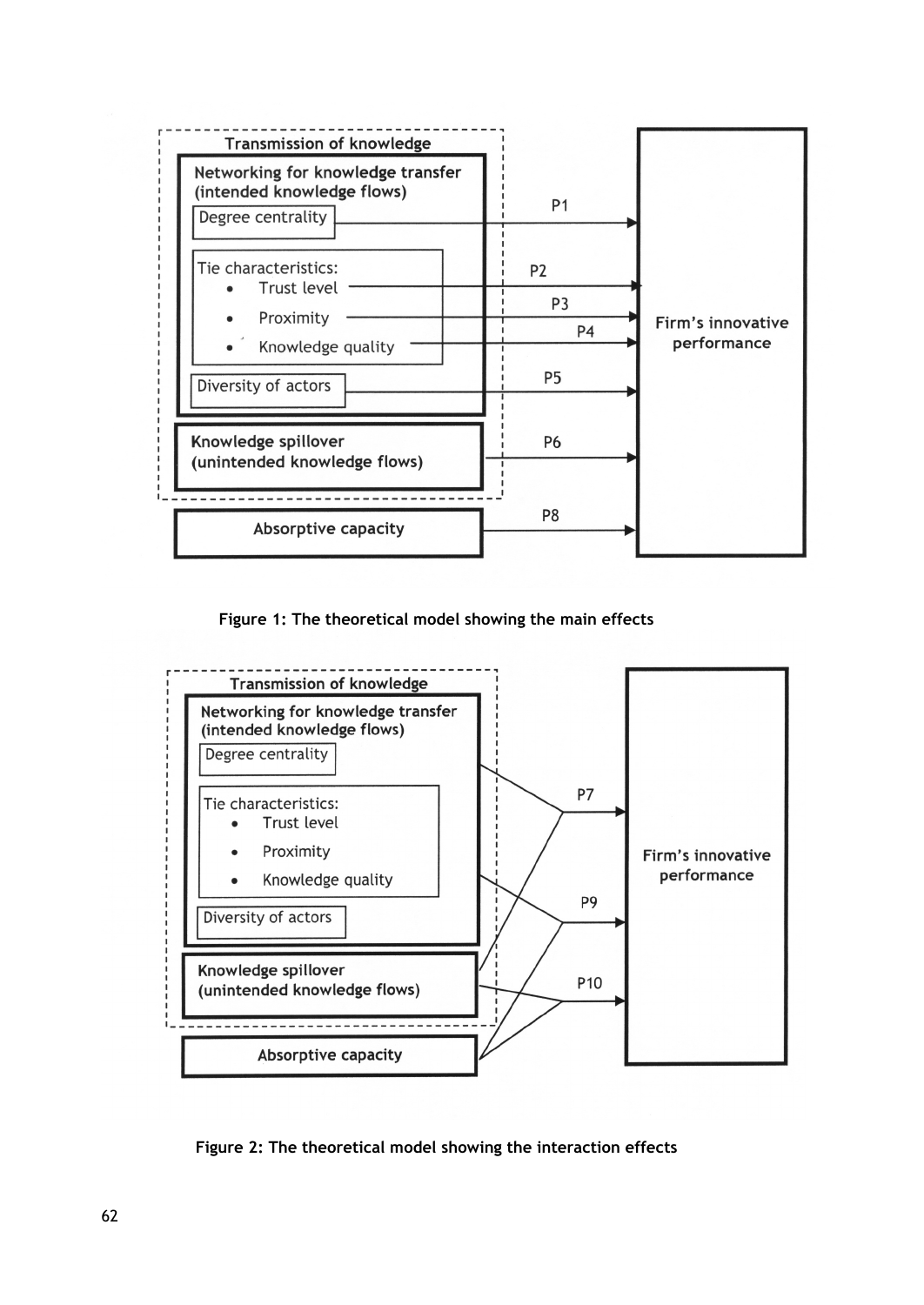

**Figure 1: The theoretical model showing the main effects** 



**Figure 2: The theoretical model showing the interaction effects**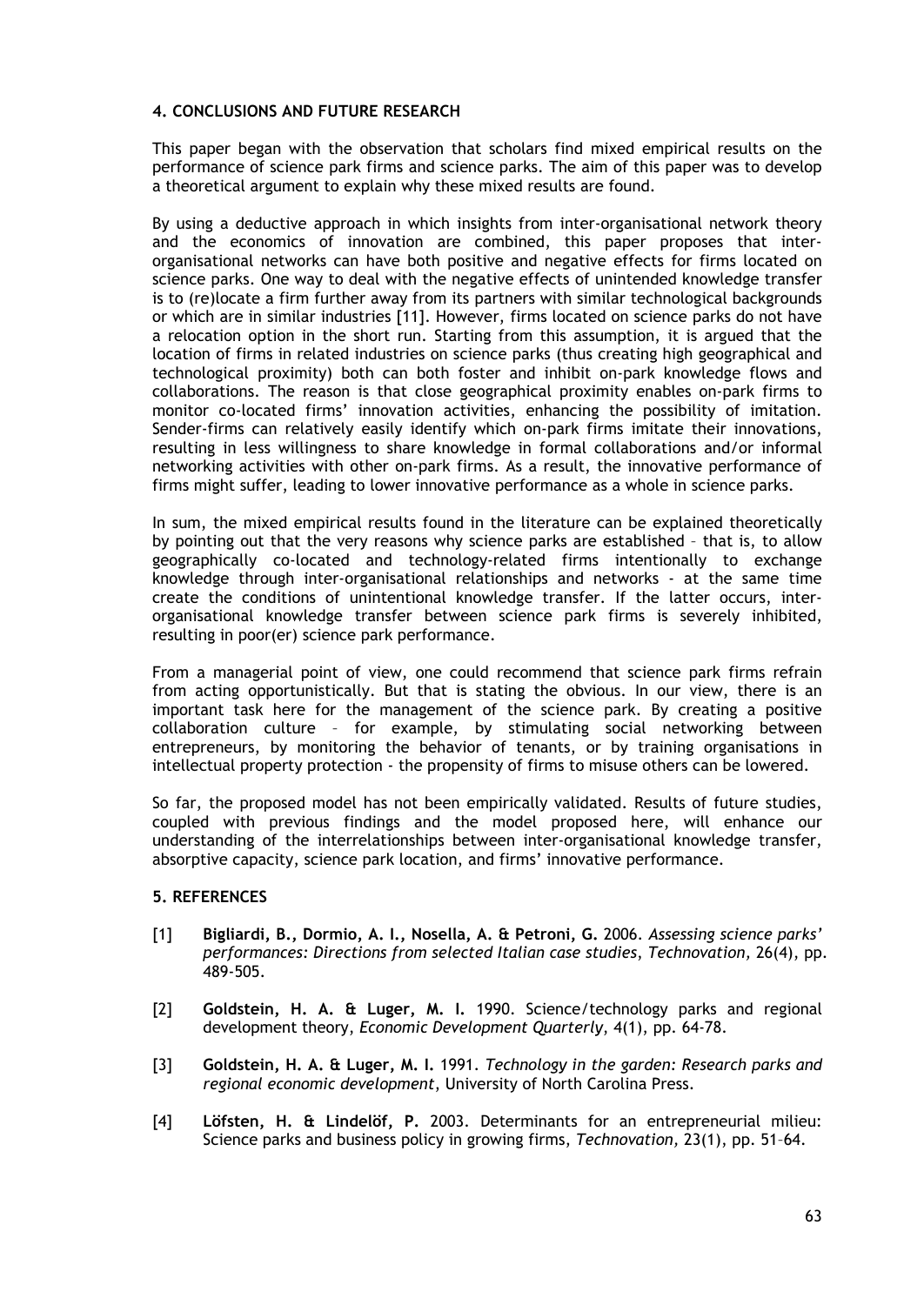# **4. CONCLUSIONS AND FUTURE RESEARCH**

This paper began with the observation that scholars find mixed empirical results on the performance of science park firms and science parks. The aim of this paper was to develop a theoretical argument to explain why these mixed results are found.

By using a deductive approach in which insights from inter-organisational network theory and the economics of innovation are combined, this paper proposes that interorganisational networks can have both positive and negative effects for firms located on science parks. One way to deal with the negative effects of unintended knowledge transfer is to (re)locate a firm further away from its partners with similar technological backgrounds or which are in similar industries [11]. However, firms located on science parks do not have a relocation option in the short run. Starting from this assumption, it is argued that the location of firms in related industries on science parks (thus creating high geographical and technological proximity) both can both foster and inhibit on-park knowledge flows and collaborations. The reason is that close geographical proximity enables on-park firms to monitor co-located firms' innovation activities, enhancing the possibility of imitation. Sender-firms can relatively easily identify which on-park firms imitate their innovations, resulting in less willingness to share knowledge in formal collaborations and/or informal networking activities with other on-park firms. As a result, the innovative performance of firms might suffer, leading to lower innovative performance as a whole in science parks.

In sum, the mixed empirical results found in the literature can be explained theoretically by pointing out that the very reasons why science parks are established – that is, to allow geographically co-located and technology-related firms intentionally to exchange knowledge through inter-organisational relationships and networks - at the same time create the conditions of unintentional knowledge transfer. If the latter occurs, interorganisational knowledge transfer between science park firms is severely inhibited, resulting in poor(er) science park performance.

From a managerial point of view, one could recommend that science park firms refrain from acting opportunistically. But that is stating the obvious. In our view, there is an important task here for the management of the science park. By creating a positive collaboration culture – for example, by stimulating social networking between entrepreneurs, by monitoring the behavior of tenants, or by training organisations in intellectual property protection - the propensity of firms to misuse others can be lowered.

So far, the proposed model has not been empirically validated. Results of future studies, coupled with previous findings and the model proposed here, will enhance our understanding of the interrelationships between inter-organisational knowledge transfer, absorptive capacity, science park location, and firms' innovative performance.

# **5. REFERENCES**

- [1] **Bigliardi, B., Dormio, A. I., Nosella, A. & Petroni, G.** 2006. *Assessing science parks' performances: Directions from selected Italian case studies*, *Technovation,* 26(4), pp. 489-505.
- [2] **Goldstein, H. A. & Luger, M. I.** 1990. Science/technology parks and regional development theory, *Economic Development Quarterly*, 4(1), pp. 64-78.
- [3] **Goldstein, H. A. & Luger, M. I.** 1991. *Technology in the garden: Research parks and regional economic development*, University of North Carolina Press.
- [4] **Löfsten, H. & Lindelöf, P.** 2003. Determinants for an entrepreneurial milieu: Science parks and business policy in growing firms, *Technovation,* 23(1), pp. 51–64.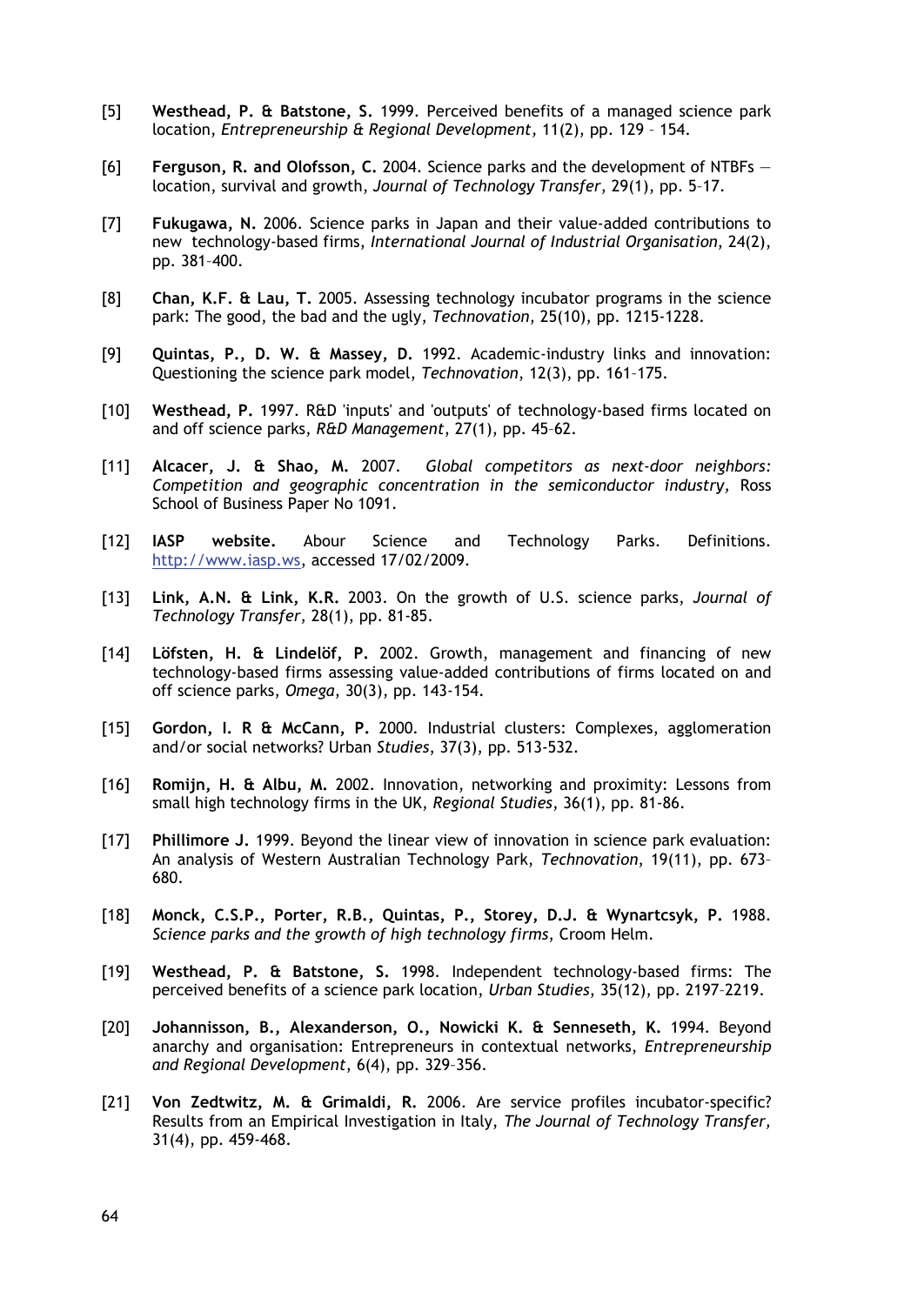- [5] **Westhead, P. & Batstone, S.** 1999. Perceived benefits of a managed science park location, *Entrepreneurship & Regional Development,* 11(2), pp. 129 – 154.
- [6] **Ferguson, R. and Olofsson, C.** 2004. Science parks and the development of NTBFs location, survival and growth, *Journal of Technology Transfer*, 29(1), pp. 5–17.
- [7] **Fukugawa, N.** 2006. Science parks in Japan and their value-added contributions to new technology-based firms, *International Journal of Industrial Organisation*, 24(2), pp. 381–400.
- [8] **Chan, K.F. & Lau, T.** 2005. Assessing technology incubator programs in the science park: The good, the bad and the ugly, *Technovation*, 25(10), pp. 1215-1228.
- [9] **Quintas, P., D. W. & Massey, D.** 1992. Academic-industry links and innovation: Questioning the science park model, *Technovation*, 12(3), pp. 161–175.
- [10] **Westhead, P.** 1997. R&D 'inputs' and 'outputs' of technology-based firms located on and off science parks, *R&D Management*, 27(1), pp. 45–62.
- [11] **Alcacer, J. & Shao, M.** 2007. *Global competitors as next-door neighbors: Competition and geographic concentration in the semiconductor industry,* Ross School of Business Paper No 1091.
- [12] **IASP website.** Abour Science and Technology Parks. Definitions. http://www.iasp.ws, accessed 17/02/2009.
- [13] **Link, A.N. & Link, K.R.** 2003. On the growth of U.S. science parks, *Journal of Technology Transfer*, 28(1), pp. 81-85.
- [14] **Löfsten, H. & Lindelöf, P.** 2002. Growth, management and financing of new technology-based firms assessing value-added contributions of firms located on and off science parks, *Omega*, 30(3), pp. 143-154.
- [15] **Gordon, I. R & McCann, P.** 2000*.* Industrial clusters: Complexes, agglomeration and/or social networks? Urban *Studies*, 37(3), pp. 513-532.
- [16] **Romijn, H. & Albu, M.** 2002. Innovation, networking and proximity: Lessons from small high technology firms in the UK, *Regional Studies*, 36(1), pp. 81-86.
- [17] **Phillimore J.** 1999. Beyond the linear view of innovation in science park evaluation: An analysis of Western Australian Technology Park, *Technovation*, 19(11), pp. 673– 680.
- [18] **Monck, C.S.P., Porter, R.B., Quintas, P., Storey, D.J. & Wynartcsyk, P.** 1988. *Science parks and the growth of high technology firms*, Croom Helm.
- [19] **Westhead, P. & Batstone, S.** 1998*.* Independent technology-based firms: The perceived benefits of a science park location, *Urban Studies*, 35(12), pp. 2197–2219.
- [20] **Johannisson, B., Alexanderson, O., Nowicki K. & Senneseth, K.** 1994. Beyond anarchy and organisation: Entrepreneurs in contextual networks, *Entrepreneurship and Regional Development*, 6(4), pp. 329–356.
- [21] **Von Zedtwitz, M. & Grimaldi, R.** 2006. Are service profiles incubator-specific? Results from an Empirical Investigation in Italy, *The Journal of Technology Transfer,*  31(4), pp. 459-468.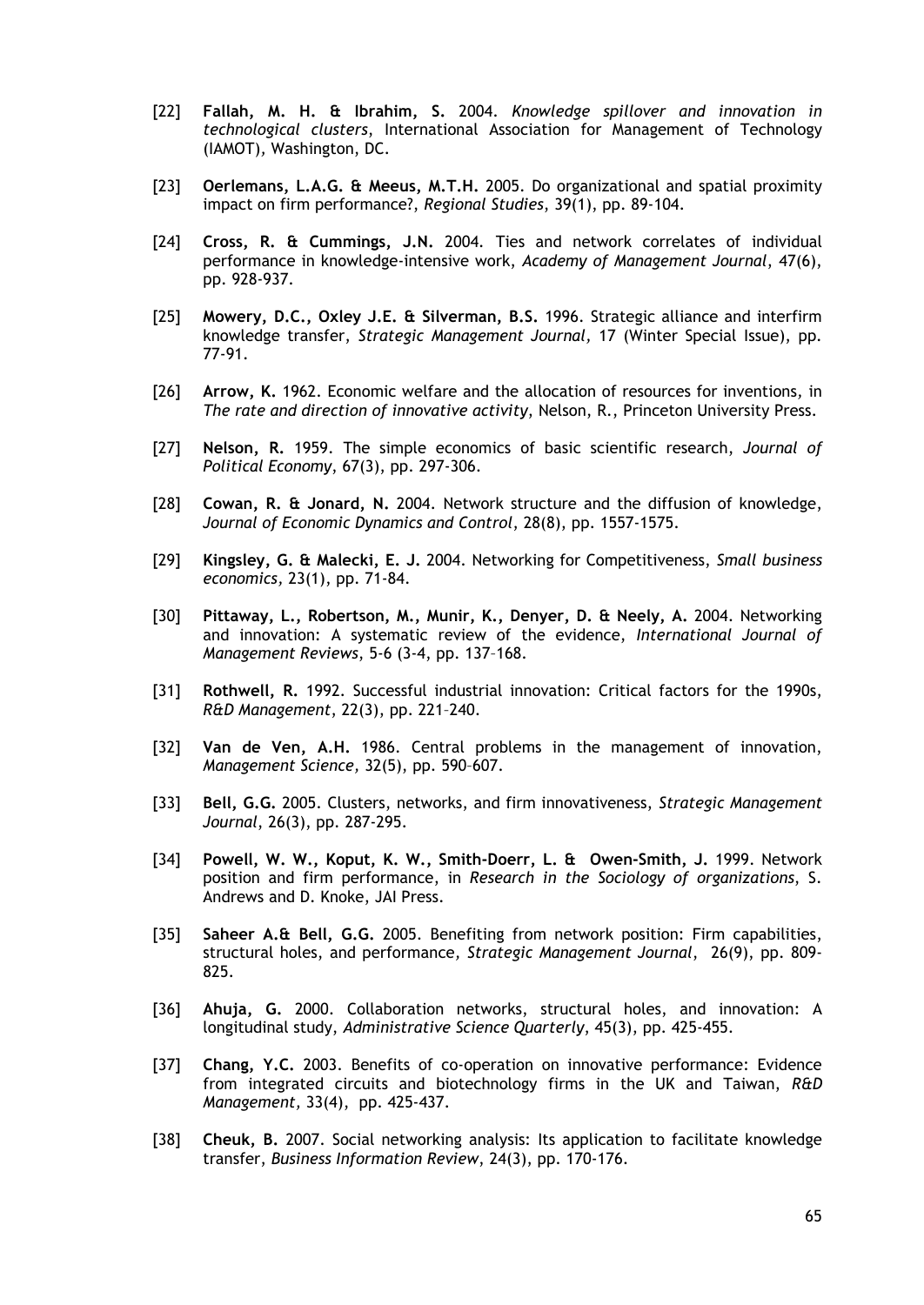- [22] **Fallah, M. H. & Ibrahim, S.** 2004. *Knowledge spillover and innovation in technological clusters*, International Association for Management of Technology (IAMOT)*,* Washington, DC.
- [23] **Oerlemans, L.A.G. & Meeus, M.T.H.** 2005. Do organizational and spatial proximity impact on firm performance?, *Regional Studies*, 39(1), pp. 89-104.
- [24] **Cross, R. & Cummings, J.N.** 2004*.* Ties and network correlates of individual performance in knowledge-intensive work, *Academy of Management Journal*, 47(6), pp. 928-937.
- [25] **Mowery, D.C., Oxley J.E. & Silverman, B.S.** 1996. Strategic alliance and interfirm knowledge transfer, *Strategic Management Journal,* 17 (Winter Special Issue), pp. 77-91.
- [26] **Arrow, K.** 1962. Economic welfare and the allocation of resources for inventions*,* in *The rate and direction of innovative activity*, Nelson, R., Princeton University Press.
- [27] **Nelson, R.** 1959. The simple economics of basic scientific research, *Journal of Political Economy*, 67(3), pp. 297-306.
- [28] **Cowan, R. & Jonard, N.** 2004. Network structure and the diffusion of knowledge, *Journal of Economic Dynamics and Control*, 28(8), pp. 1557-1575.
- [29] **Kingsley, G. & Malecki, E. J.** 2004. Networking for Competitiveness, *Small business economics,* 23(1), pp. 71-84.
- [30] **Pittaway, L., Robertson, M., Munir, K., Denyer, D. & Neely, A.** 2004. Networking and innovation: A systematic review of the evidence, *International Journal of Management Reviews*, 5-6 (3-4, pp. 137–168.
- [31] **Rothwell, R.** 1992. Successful industrial innovation: Critical factors for the 1990s, *R&D Management*, 22(3), pp. 221–240.
- [32] **Van de Ven, A.H.** 1986. Central problems in the management of innovation, *Management Science,* 32(5), pp. 590–607.
- [33] **Bell, G.G.** 2005. Clusters, networks, and firm innovativeness, *Strategic Management Journal*, 26(3), pp. 287-295.
- [34] **Powell, W. W., Koput, K. W., Smith-Doerr, L. & Owen-Smith, J.** 1999. Network position and firm performance, in *Research in the Sociology of organizations*, S. Andrews and D. Knoke, JAI Press.
- [35] **Saheer A.& Bell, G.G.** 2005. Benefiting from network position: Firm capabilities, structural holes, and performance*, Strategic Management Journal*, 26(9), pp. 809- 825.
- [36] **Ahuja, G.** 2000. Collaboration networks, structural holes, and innovation: A longitudinal study, *Administrative Science Quarterly*, 45(3), pp. 425-455.
- [37] **Chang, Y.C.** 2003. Benefits of co-operation on innovative performance: Evidence from integrated circuits and biotechnology firms in the UK and Taiwan, *R&D Management,* 33(4), pp. 425-437.
- [38] **Cheuk, B.** 2007. Social networking analysis: Its application to facilitate knowledge transfer, *Business Information Review*, 24(3), pp. 170-176.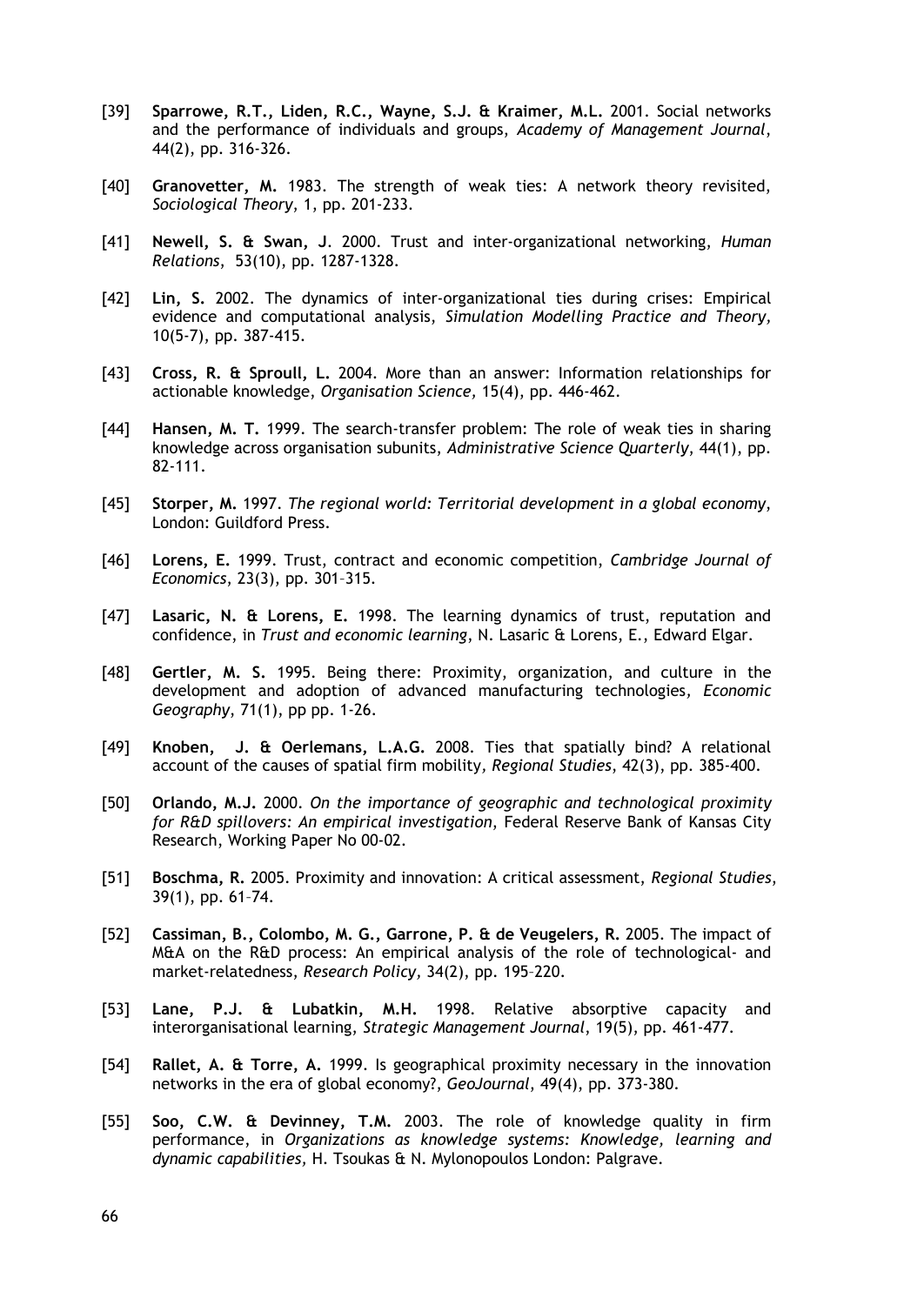- [39] **Sparrowe, R.T., Liden, R.C., Wayne, S.J. & Kraimer, M.L.** 2001. Social networks and the performance of individuals and groups, *Academy of Management Journal*, 44(2), pp. 316-326.
- [40] **Granovetter, M.** 1983. The strength of weak ties: A network theory revisited, *Sociological Theory*, 1, pp. 201-233.
- [41] **Newell, S. & Swan, J**. 2000. Trust and inter-organizational networking, *Human Relations*, 53(10), pp. 1287-1328.
- [42] **Lin, S.** 2002. The dynamics of inter-organizational ties during crises: Empirical evidence and computational analysis, *Simulation Modelling Practice and Theory,*  10(5-7), pp. 387-415.
- [43] **Cross, R. & Sproull, L.** 2004. More than an answer: Information relationships for actionable knowledge, *Organisation Science,* 15(4), pp. 446-462.
- [44] **Hansen, M. T.** 1999. The search-transfer problem: The role of weak ties in sharing knowledge across organisation subunits, *Administrative Science Quarterly*, 44(1), pp. 82-111.
- [45] **Storper, M.** 1997. *The regional world: Territorial development in a global economy*, London: Guildford Press.
- [46] **Lorens, E.** 1999. Trust, contract and economic competition, *Cambridge Journal of Economics*, 23(3), pp. 301–315.
- [47] **Lasaric, N. & Lorens, E.** 1998. The learning dynamics of trust, reputation and confidence, in *Trust and economic learning*, N. Lasaric & Lorens, E., Edward Elgar.
- [48] **Gertler, M. S.** 1995. Being there: Proximity, organization, and culture in the development and adoption of advanced manufacturing technologies*, Economic Geography*, 71(1), pp pp. 1-26.
- [49] **Knoben, J. & Oerlemans, L.A.G.** 2008. Ties that spatially bind? A relational account of the causes of spatial firm mobility*, Regional Studies*, 42(3), pp. 385-400.
- [50] **Orlando, M.J.** 2000. *On the importance of geographic and technological proximity for R&D spillovers: An empirical investigation*, Federal Reserve Bank of Kansas City Research, Working Paper No 00-02.
- [51] **Boschma, R.** 2005. Proximity and innovation: A critical assessment, *Regional Studies*, 39(1), pp. 61–74.
- [52] **Cassiman, B., Colombo, M. G., Garrone, P. & de Veugelers, R.** 2005. The impact of M&A on the R&D process: An empirical analysis of the role of technological- and market-relatedness, *Research Policy,* 34(2), pp. 195–220.
- [53] **Lane, P.J. & Lubatkin, M.H.** 1998. Relative absorptive capacity and interorganisational learning, *Strategic Management Journal*, 19(5), pp. 461-477.
- [54] **Rallet, A. & Torre, A.** 1999. Is geographical proximity necessary in the innovation networks in the era of global economy?, *GeoJournal*, 49(4), pp. 373-380.
- [55] **Soo, C.W. & Devinney, T.M.** 2003. The role of knowledge quality in firm performance, in *Organizations as knowledge systems: Knowledge, learning and dynamic capabilities,* H. Tsoukas & N. Mylonopoulos London: Palgrave.